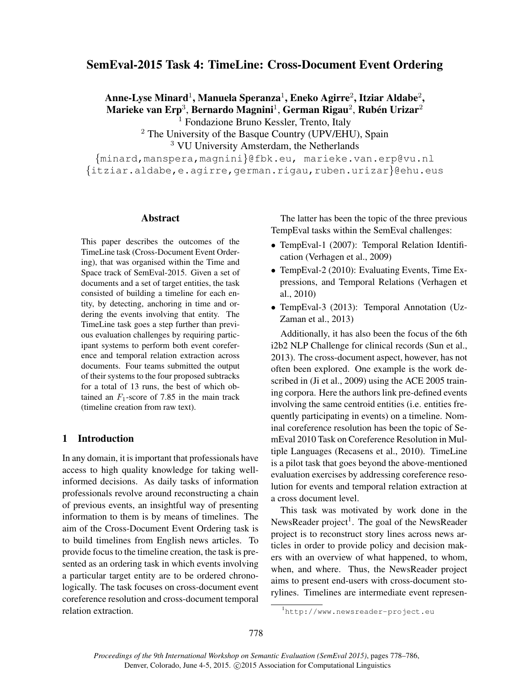# SemEval-2015 Task 4: TimeLine: Cross-Document Event Ordering

Anne-Lyse Minard $^1$ , Manuela Speranza $^1$ , Eneko Agirre $^2$ , Itziar Aldabe $^2$ , Marieke van Erp $^3$ , Bernardo Magnini $^1$ , German Rigau $^2$ , Rubén Urizar $^2$ 

<sup>1</sup> Fondazione Bruno Kessler, Trento, Italy

 $2$  The University of the Basque Country (UPV/EHU), Spain <sup>3</sup> VU University Amsterdam, the Netherlands

{minard,manspera,magnini}@fbk.eu, marieke.van.erp@vu.nl {itziar.aldabe,e.agirre,german.rigau,ruben.urizar}@ehu.eus

## Abstract

This paper describes the outcomes of the TimeLine task (Cross-Document Event Ordering), that was organised within the Time and Space track of SemEval-2015. Given a set of documents and a set of target entities, the task consisted of building a timeline for each entity, by detecting, anchoring in time and ordering the events involving that entity. The TimeLine task goes a step further than previous evaluation challenges by requiring participant systems to perform both event coreference and temporal relation extraction across documents. Four teams submitted the output of their systems to the four proposed subtracks for a total of 13 runs, the best of which obtained an  $F_1$ -score of 7.85 in the main track (timeline creation from raw text).

#### 1 Introduction

In any domain, it is important that professionals have access to high quality knowledge for taking wellinformed decisions. As daily tasks of information professionals revolve around reconstructing a chain of previous events, an insightful way of presenting information to them is by means of timelines. The aim of the Cross-Document Event Ordering task is to build timelines from English news articles. To provide focus to the timeline creation, the task is presented as an ordering task in which events involving a particular target entity are to be ordered chronologically. The task focuses on cross-document event coreference resolution and cross-document temporal relation extraction.

The latter has been the topic of the three previous TempEval tasks within the SemEval challenges:

- TempEval-1 (2007): Temporal Relation Identification (Verhagen et al., 2009)
- TempEval-2 (2010): Evaluating Events, Time Expressions, and Temporal Relations (Verhagen et al., 2010)
- TempEval-3 (2013): Temporal Annotation (Uz-Zaman et al., 2013)

Additionally, it has also been the focus of the 6th i2b2 NLP Challenge for clinical records (Sun et al., 2013). The cross-document aspect, however, has not often been explored. One example is the work described in (Ji et al., 2009) using the ACE 2005 training corpora. Here the authors link pre-defined events involving the same centroid entities (i.e. entities frequently participating in events) on a timeline. Nominal coreference resolution has been the topic of SemEval 2010 Task on Coreference Resolution in Multiple Languages (Recasens et al., 2010). TimeLine is a pilot task that goes beyond the above-mentioned evaluation exercises by addressing coreference resolution for events and temporal relation extraction at a cross document level.

This task was motivated by work done in the NewsReader project<sup>1</sup>. The goal of the NewsReader project is to reconstruct story lines across news articles in order to provide policy and decision makers with an overview of what happened, to whom, when, and where. Thus, the NewsReader project aims to present end-users with cross-document storylines. Timelines are intermediate event represen-

<sup>1</sup>http://www.newsreader-project.eu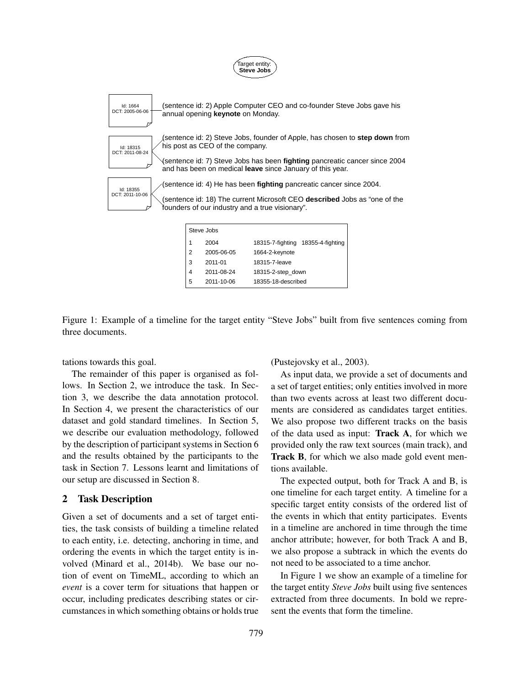

Figure 1: Example of a timeline for the target entity "Steve Jobs" built from five sentences coming from three documents.

tations towards this goal.

The remainder of this paper is organised as follows. In Section 2, we introduce the task. In Section 3, we describe the data annotation protocol. In Section 4, we present the characteristics of our dataset and gold standard timelines. In Section 5, we describe our evaluation methodology, followed by the description of participant systems in Section 6 and the results obtained by the participants to the task in Section 7. Lessons learnt and limitations of our setup are discussed in Section 8.

### 2 Task Description

Given a set of documents and a set of target entities, the task consists of building a timeline related to each entity, i.e. detecting, anchoring in time, and ordering the events in which the target entity is involved (Minard et al., 2014b). We base our notion of event on TimeML, according to which an *event* is a cover term for situations that happen or occur, including predicates describing states or circumstances in which something obtains or holds true (Pustejovsky et al., 2003).

As input data, we provide a set of documents and a set of target entities; only entities involved in more than two events across at least two different documents are considered as candidates target entities. We also propose two different tracks on the basis of the data used as input: Track A, for which we provided only the raw text sources (main track), and Track B, for which we also made gold event mentions available.

The expected output, both for Track A and B, is one timeline for each target entity. A timeline for a specific target entity consists of the ordered list of the events in which that entity participates. Events in a timeline are anchored in time through the time anchor attribute; however, for both Track A and B, we also propose a subtrack in which the events do not need to be associated to a time anchor.

In Figure 1 we show an example of a timeline for the target entity *Steve Jobs* built using five sentences extracted from three documents. In bold we represent the events that form the timeline.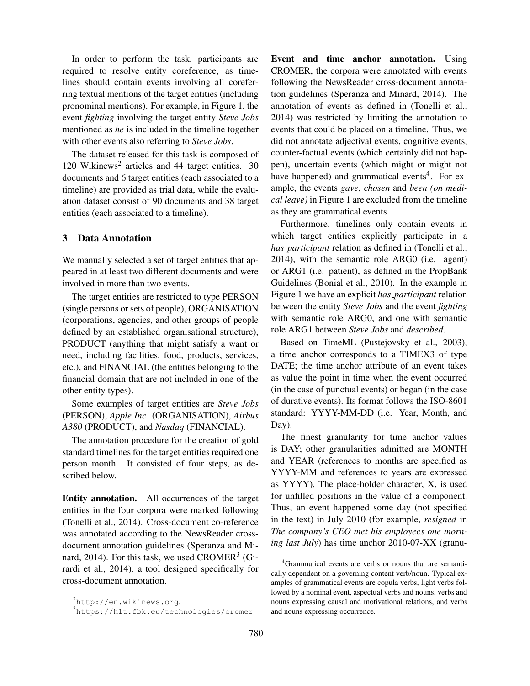In order to perform the task, participants are required to resolve entity coreference, as timelines should contain events involving all coreferring textual mentions of the target entities (including pronominal mentions). For example, in Figure 1, the event *fighting* involving the target entity *Steve Jobs* mentioned as *he* is included in the timeline together with other events also referring to *Steve Jobs*.

The dataset released for this task is composed of 120 Wikinews<sup>2</sup> articles and 44 target entities. 30 documents and 6 target entities (each associated to a timeline) are provided as trial data, while the evaluation dataset consist of 90 documents and 38 target entities (each associated to a timeline).

# 3 Data Annotation

We manually selected a set of target entities that appeared in at least two different documents and were involved in more than two events.

The target entities are restricted to type PERSON (single persons or sets of people), ORGANISATION (corporations, agencies, and other groups of people defined by an established organisational structure), PRODUCT (anything that might satisfy a want or need, including facilities, food, products, services, etc.), and FINANCIAL (the entities belonging to the financial domain that are not included in one of the other entity types).

Some examples of target entities are *Steve Jobs* (PERSON), *Apple Inc.* (ORGANISATION), *Airbus A380* (PRODUCT), and *Nasdaq* (FINANCIAL).

The annotation procedure for the creation of gold standard timelines for the target entities required one person month. It consisted of four steps, as described below.

Entity annotation. All occurrences of the target entities in the four corpora were marked following (Tonelli et al., 2014). Cross-document co-reference was annotated according to the NewsReader crossdocument annotation guidelines (Speranza and Minard, 2014). For this task, we used  $CROMER<sup>3</sup>$  (Girardi et al., 2014), a tool designed specifically for cross-document annotation.

Event and time anchor annotation. Using CROMER, the corpora were annotated with events following the NewsReader cross-document annotation guidelines (Speranza and Minard, 2014). The annotation of events as defined in (Tonelli et al., 2014) was restricted by limiting the annotation to events that could be placed on a timeline. Thus, we did not annotate adjectival events, cognitive events, counter-factual events (which certainly did not happen), uncertain events (which might or might not have happened) and grammatical events<sup>4</sup>. For example, the events *gave*, *chosen* and *been (on medical leave)* in Figure 1 are excluded from the timeline as they are grammatical events.

Furthermore, timelines only contain events in which target entities explicitly participate in a *has participant* relation as defined in (Tonelli et al., 2014), with the semantic role ARG0 (i.e. agent) or ARG1 (i.e. patient), as defined in the PropBank Guidelines (Bonial et al., 2010). In the example in Figure 1 we have an explicit *has participant* relation between the entity *Steve Jobs* and the event *fighting* with semantic role ARG0, and one with semantic role ARG1 between *Steve Jobs* and *described*.

Based on TimeML (Pustejovsky et al., 2003), a time anchor corresponds to a TIMEX3 of type DATE; the time anchor attribute of an event takes as value the point in time when the event occurred (in the case of punctual events) or began (in the case of durative events). Its format follows the ISO-8601 standard: YYYY-MM-DD (i.e. Year, Month, and Day).

The finest granularity for time anchor values is DAY; other granularities admitted are MONTH and YEAR (references to months are specified as YYYY-MM and references to years are expressed as YYYY). The place-holder character, X, is used for unfilled positions in the value of a component. Thus, an event happened some day (not specified in the text) in July 2010 (for example, *resigned* in *The company's CEO met his employees one morning last July*) has time anchor 2010-07-XX (granu-

<sup>2</sup>http://en.wikinews.org.

<sup>3</sup>https://hlt.fbk.eu/technologies/cromer

<sup>4</sup>Grammatical events are verbs or nouns that are semantically dependent on a governing content verb/noun. Typical examples of grammatical events are copula verbs, light verbs followed by a nominal event, aspectual verbs and nouns, verbs and nouns expressing causal and motivational relations, and verbs and nouns expressing occurrence.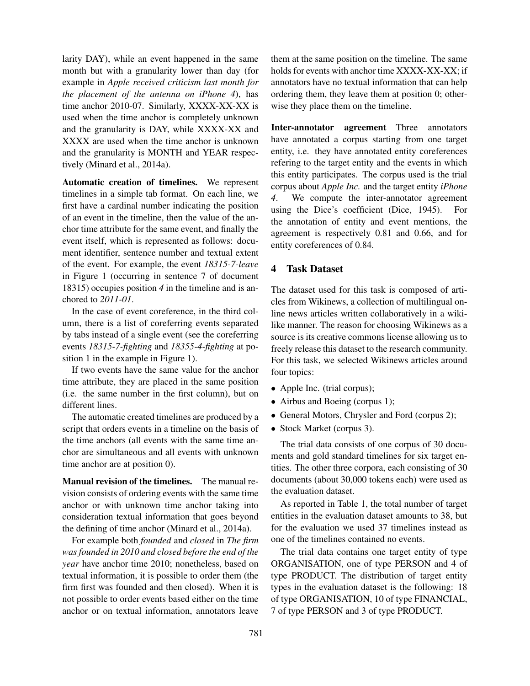larity DAY), while an event happened in the same month but with a granularity lower than day (for example in *Apple received criticism last month for the placement of the antenna on iPhone 4*), has time anchor 2010-07. Similarly, XXXX-XX-XX is used when the time anchor is completely unknown and the granularity is DAY, while XXXX-XX and XXXX are used when the time anchor is unknown and the granularity is MONTH and YEAR respectively (Minard et al., 2014a).

Automatic creation of timelines. We represent timelines in a simple tab format. On each line, we first have a cardinal number indicating the position of an event in the timeline, then the value of the anchor time attribute for the same event, and finally the event itself, which is represented as follows: document identifier, sentence number and textual extent of the event. For example, the event *18315-7-leave* in Figure 1 (occurring in sentence 7 of document 18315) occupies position *4* in the timeline and is anchored to *2011-01*.

In the case of event coreference, in the third column, there is a list of coreferring events separated by tabs instead of a single event (see the coreferring events *18315-7-fighting* and *18355-4-fighting* at position 1 in the example in Figure 1).

If two events have the same value for the anchor time attribute, they are placed in the same position (i.e. the same number in the first column), but on different lines.

The automatic created timelines are produced by a script that orders events in a timeline on the basis of the time anchors (all events with the same time anchor are simultaneous and all events with unknown time anchor are at position 0).

Manual revision of the timelines. The manual revision consists of ordering events with the same time anchor or with unknown time anchor taking into consideration textual information that goes beyond the defining of time anchor (Minard et al., 2014a).

For example both *founded* and *closed* in *The firm was founded in 2010 and closed before the end of the year* have anchor time 2010; nonetheless, based on textual information, it is possible to order them (the firm first was founded and then closed). When it is not possible to order events based either on the time anchor or on textual information, annotators leave

them at the same position on the timeline. The same holds for events with anchor time XXXX-XX-XX; if annotators have no textual information that can help ordering them, they leave them at position 0; otherwise they place them on the timeline.

Inter-annotator agreement Three annotators have annotated a corpus starting from one target entity, i.e. they have annotated entity coreferences refering to the target entity and the events in which this entity participates. The corpus used is the trial corpus about *Apple Inc.* and the target entity *iPhone 4*. We compute the inter-annotator agreement using the Dice's coefficient (Dice, 1945). For the annotation of entity and event mentions, the agreement is respectively 0.81 and 0.66, and for entity coreferences of 0.84.

# 4 Task Dataset

The dataset used for this task is composed of articles from Wikinews, a collection of multilingual online news articles written collaboratively in a wikilike manner. The reason for choosing Wikinews as a source is its creative commons license allowing us to freely release this dataset to the research community. For this task, we selected Wikinews articles around four topics:

- Apple Inc. (trial corpus);
- Airbus and Boeing (corpus 1);
- General Motors, Chrysler and Ford (corpus 2);
- Stock Market (corpus 3).

The trial data consists of one corpus of 30 documents and gold standard timelines for six target entities. The other three corpora, each consisting of 30 documents (about 30,000 tokens each) were used as the evaluation dataset.

As reported in Table 1, the total number of target entities in the evaluation dataset amounts to 38, but for the evaluation we used 37 timelines instead as one of the timelines contained no events.

The trial data contains one target entity of type ORGANISATION, one of type PERSON and 4 of type PRODUCT. The distribution of target entity types in the evaluation dataset is the following: 18 of type ORGANISATION, 10 of type FINANCIAL, 7 of type PERSON and 3 of type PRODUCT.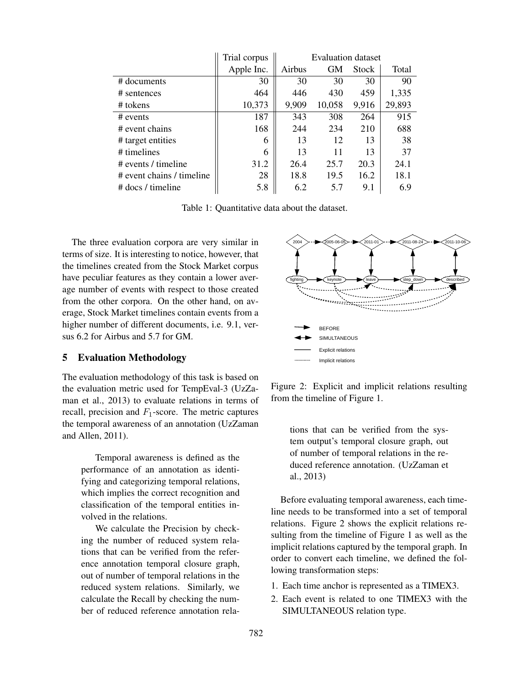|                           | Trial corpus | <b>Evaluation dataset</b> |           |              |        |  |
|---------------------------|--------------|---------------------------|-----------|--------------|--------|--|
|                           | Apple Inc.   | Airbus                    | <b>GM</b> | <b>Stock</b> | Total  |  |
| # documents               | 30           | 30                        | 30        | 30           | 90     |  |
| # sentences               | 464          | 446                       | 430       | 459          | 1,335  |  |
| $#$ tokens                | 10,373       | 9,909                     | 10,058    | 9,916        | 29,893 |  |
| $\#$ events               | 187          | 343                       | 308       | 264          | 915    |  |
| # event chains            | 168          | 244                       | 234       | 210          | 688    |  |
| # target entities         | 6            | 13                        | 12        | 13           | 38     |  |
| # timelines               | 6            | 13                        | 11        | 13           | 37     |  |
| # events / timeline       | 31.2         | 26.4                      | 25.7      | 20.3         | 24.1   |  |
| # event chains / timeline | 28           | 18.8                      | 19.5      | 16.2         | 18.1   |  |
| # docs / timeline         | 5.8          | 6.2                       | 5.7       | 9.1          | 6.9    |  |

Table 1: Quantitative data about the dataset.

The three evaluation corpora are very similar in terms of size. It is interesting to notice, however, that the timelines created from the Stock Market corpus have peculiar features as they contain a lower average number of events with respect to those created from the other corpora. On the other hand, on average, Stock Market timelines contain events from a higher number of different documents, i.e. 9.1, versus 6.2 for Airbus and 5.7 for GM.

## 5 Evaluation Methodology

The evaluation methodology of this task is based on the evaluation metric used for TempEval-3 (UzZaman et al., 2013) to evaluate relations in terms of recall, precision and  $F_1$ -score. The metric captures the temporal awareness of an annotation (UzZaman and Allen, 2011).

Temporal awareness is defined as the performance of an annotation as identifying and categorizing temporal relations, which implies the correct recognition and classification of the temporal entities involved in the relations.

We calculate the Precision by checking the number of reduced system relations that can be verified from the reference annotation temporal closure graph, out of number of temporal relations in the reduced system relations. Similarly, we calculate the Recall by checking the number of reduced reference annotation rela-



Figure 2: Explicit and implicit relations resulting from the timeline of Figure 1.

tions that can be verified from the system output's temporal closure graph, out of number of temporal relations in the reduced reference annotation. (UzZaman et al., 2013)

Before evaluating temporal awareness, each timeline needs to be transformed into a set of temporal relations. Figure 2 shows the explicit relations resulting from the timeline of Figure 1 as well as the implicit relations captured by the temporal graph. In order to convert each timeline, we defined the following transformation steps:

- 1. Each time anchor is represented as a TIMEX3.
- 2. Each event is related to one TIMEX3 with the SIMULTANEOUS relation type.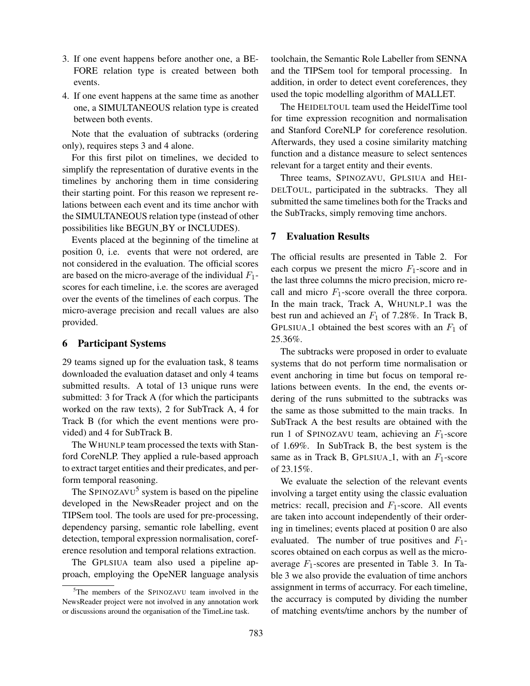- 3. If one event happens before another one, a BE-FORE relation type is created between both events.
- 4. If one event happens at the same time as another one, a SIMULTANEOUS relation type is created between both events.

Note that the evaluation of subtracks (ordering only), requires steps 3 and 4 alone.

For this first pilot on timelines, we decided to simplify the representation of durative events in the timelines by anchoring them in time considering their starting point. For this reason we represent relations between each event and its time anchor with the SIMULTANEOUS relation type (instead of other possibilities like BEGUN BY or INCLUDES).

Events placed at the beginning of the timeline at position 0, i.e. events that were not ordered, are not considered in the evaluation. The official scores are based on the micro-average of the individual  $F_1$ scores for each timeline, i.e. the scores are averaged over the events of the timelines of each corpus. The micro-average precision and recall values are also provided.

## 6 Participant Systems

29 teams signed up for the evaluation task, 8 teams downloaded the evaluation dataset and only 4 teams submitted results. A total of 13 unique runs were submitted: 3 for Track A (for which the participants worked on the raw texts), 2 for SubTrack A, 4 for Track B (for which the event mentions were provided) and 4 for SubTrack B.

The WHUNLP team processed the texts with Stanford CoreNLP. They applied a rule-based approach to extract target entities and their predicates, and perform temporal reasoning.

The SPINOZAVU<sup>5</sup> system is based on the pipeline developed in the NewsReader project and on the TIPSem tool. The tools are used for pre-processing, dependency parsing, semantic role labelling, event detection, temporal expression normalisation, coreference resolution and temporal relations extraction.

The GPLSIUA team also used a pipeline approach, employing the OpeNER language analysis toolchain, the Semantic Role Labeller from SENNA and the TIPSem tool for temporal processing. In addition, in order to detect event coreferences, they used the topic modelling algorithm of MALLET.

The HEIDELTOUL team used the HeidelTime tool for time expression recognition and normalisation and Stanford CoreNLP for coreference resolution. Afterwards, they used a cosine similarity matching function and a distance measure to select sentences relevant for a target entity and their events.

Three teams, SPINOZAVU, GPLSIUA and HEI-DELTOUL, participated in the subtracks. They all submitted the same timelines both for the Tracks and the SubTracks, simply removing time anchors.

### 7 Evaluation Results

The official results are presented in Table 2. For each corpus we present the micro  $F_1$ -score and in the last three columns the micro precision, micro recall and micro  $F_1$ -score overall the three corpora. In the main track, Track A, WHUNLP<sub>-1</sub> was the best run and achieved an  $F_1$  of 7.28%. In Track B, GPLSIUA<sub>-1</sub> obtained the best scores with an  $F_1$  of 25.36%.

The subtracks were proposed in order to evaluate systems that do not perform time normalisation or event anchoring in time but focus on temporal relations between events. In the end, the events ordering of the runs submitted to the subtracks was the same as those submitted to the main tracks. In SubTrack A the best results are obtained with the run 1 of SPINOZAVU team, achieving an  $F_1$ -score of 1.69%. In SubTrack B, the best system is the same as in Track B, GPLSIUA<sub>-1</sub>, with an  $F_1$ -score of  $23.15\%$ .

We evaluate the selection of the relevant events involving a target entity using the classic evaluation metrics: recall, precision and  $F_1$ -score. All events are taken into account independently of their ordering in timelines; events placed at position 0 are also evaluated. The number of true positives and  $F_1$ scores obtained on each corpus as well as the microaverage  $F_1$ -scores are presented in Table 3. In Table 3 we also provide the evaluation of time anchors assignment in terms of accurracy. For each timeline, the accurracy is computed by dividing the number of matching events/time anchors by the number of

<sup>&</sup>lt;sup>5</sup>The members of the SPINOZAVU team involved in the NewsReader project were not involved in any annotation work or discussions around the organisation of the TimeLine task.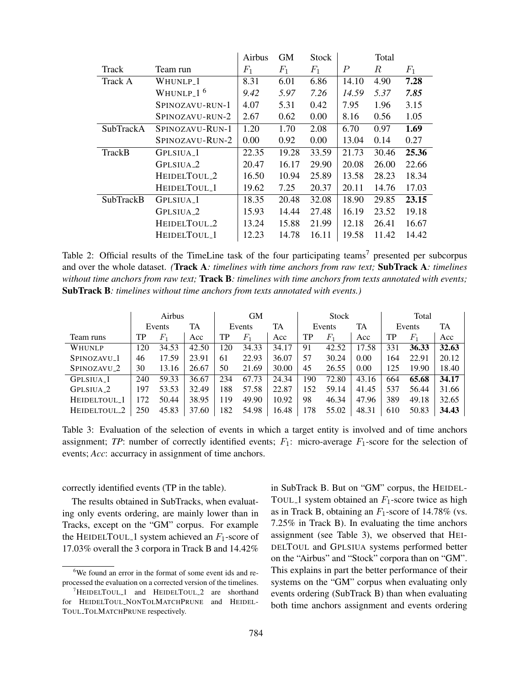|                  |                                   | Airbus | <b>GM</b> | <b>Stock</b> | Total |        |       |
|------------------|-----------------------------------|--------|-----------|--------------|-------|--------|-------|
| Track            | Team run                          | $F_1$  | $F_1$     | $F_1$        | P     | $_{R}$ | $F_1$ |
| Track A          | WHUNLP <sub>-1</sub>              | 8.31   | 6.01      | 6.86         | 14.10 | 4.90   | 7.28  |
|                  | WHUNLP <sub>-1</sub> <sup>6</sup> | 9.42   | 5.97      | 7.26         | 14.59 | 5.37   | 7.85  |
|                  | SPINOZAVU-RUN-1                   | 4.07   | 5.31      | 0.42         | 7.95  | 1.96   | 3.15  |
|                  | SPINOZAVU-RUN-2                   | 2.67   | 0.62      | 0.00         | 8.16  | 0.56   | 1.05  |
| <b>SubTrackA</b> | SPINOZAVU-RUN-1                   | 1.20   | 1.70      | 2.08         | 6.70  | 0.97   | 1.69  |
|                  | SPINOZAVU-RUN-2                   | 0.00   | 0.92      | 0.00         | 13.04 | 0.14   | 0.27  |
| TrackB           | GPLSIUA <sub>-</sub> 1            | 22.35  | 19.28     | 33.59        | 21.73 | 30.46  | 25.36 |
|                  | GPLSIUA <sub>-2</sub>             | 20.47  | 16.17     | 29.90        | 20.08 | 26.00  | 22.66 |
|                  | HEIDELTOUL_2                      | 16.50  | 10.94     | 25.89        | 13.58 | 28.23  | 18.34 |
|                  | HEIDELTOUL_1                      | 19.62  | 7.25      | 20.37        | 20.11 | 14.76  | 17.03 |
| <b>SubTrackB</b> | GPLSIUA <sub>-1</sub>             | 18.35  | 20.48     | 32.08        | 18.90 | 29.85  | 23.15 |
|                  | GPLSIUA <sub>-2</sub>             | 15.93  | 14.44     | 27.48        | 16.19 | 23.52  | 19.18 |
|                  | HEIDELTOUL_2                      | 13.24  | 15.88     | 21.99        | 12.18 | 26.41  | 16.67 |
|                  | HEIDELTOUL_1                      | 12.23  | 14.78     | 16.11        | 19.58 | 11.42  | 14.42 |

Table 2: Official results of the TimeLine task of the four participating teams<sup>7</sup> presented per subcorpus and over the whole dataset. *(*Track A*: timelines with time anchors from raw text;* SubTrack A*: timelines without time anchors from raw text;* Track B*: timelines with time anchors from texts annotated with events;* SubTrack B*: timelines without time anchors from texts annotated with events.)*

|                         |     |        | Airbus |     | <b>GM</b>   | <b>Stock</b> |     |        | Total |        |       |       |
|-------------------------|-----|--------|--------|-----|-------------|--------------|-----|--------|-------|--------|-------|-------|
|                         |     | Events | TA     |     | Events      | TA           |     | Events | TA    | Events |       | TA    |
| Team runs               | TP  | $F_1$  | Acc    | TP  | $F_{\rm 1}$ | Acc          | TP  | $F_1$  | Acc   | TP     | $F_1$ | Acc   |
| WHUNLP                  | 120 | 34.53  | 42.50  | 120 | 34.33       | 34.17        | 91  | 42.52  | 17.58 | 331    | 36.33 | 32.63 |
| SPINOZAVU <sub>-1</sub> | 46  | 17.59  | 23.91  | 61  | 22.93       | 36.07        | 57  | 30.24  | 0.00  | 164    | 22.91 | 20.12 |
| SPINOZAVU <sub>-2</sub> | 30  | 13.16  | 26.67  | 50  | 21.69       | 30.00        | 45  | 26.55  | 0.00  | 125    | 19.90 | 18.40 |
| GPLSIUA <sub>-</sub> 1  | 240 | 59.33  | 36.67  | 234 | 67.73       | 24.34        | 190 | 72.80  | 43.16 | 664    | 65.68 | 34.17 |
| GPLSIUA <sub>-2</sub>   | 197 | 53.53  | 32.49  | 188 | 57.58       | 22.87        | 152 | 59.14  | 41.45 | 537    | 56.44 | 31.66 |
| HEIDELTOUL_1            | 172 | 50.44  | 38.95  | 119 | 49.90       | 10.92        | 98  | 46.34  | 47.96 | 389    | 49.18 | 32.65 |
| HEIDELTOUL_2            | 250 | 45.83  | 37.60  | 182 | 54.98       | 16.48        | 178 | 55.02  | 48.31 | 610    | 50.83 | 34.43 |

Table 3: Evaluation of the selection of events in which a target entity is involved and of time anchors assignment; *TP*: number of correctly identified events;  $F_1$ : micro-average  $F_1$ -score for the selection of events; *Acc*: accurracy in assignment of time anchors.

correctly identified events (TP in the table).

The results obtained in SubTracks, when evaluating only events ordering, are mainly lower than in Tracks, except on the "GM" corpus. For example the HEIDELTOUL 1 system achieved an  $F_1$ -score of 17.03% overall the 3 corpora in Track B and 14.42%

in SubTrack B. But on "GM" corpus, the HEIDEL-TOUL 1 system obtained an  $F_1$ -score twice as high as in Track B, obtaining an  $F_1$ -score of 14.78% (vs. 7.25% in Track B). In evaluating the time anchors assignment (see Table 3), we observed that HEI-DELTOUL and GPLSIUA systems performed better on the "Airbus" and "Stock" corpora than on "GM". This explains in part the better performance of their systems on the "GM" corpus when evaluating only events ordering (SubTrack B) than when evaluating both time anchors assignment and events ordering

<sup>&</sup>lt;sup>6</sup>We found an error in the format of some event ids and reprocessed the evaluation on a corrected version of the timelines.

 $7$ HEIDELTOUL\_1 and HEIDELTOUL\_2 are shorthand for HEIDELTOUL NONTOLMATCHPRUNE and HEIDEL-TOUL TOLMATCHPRUNE respectively.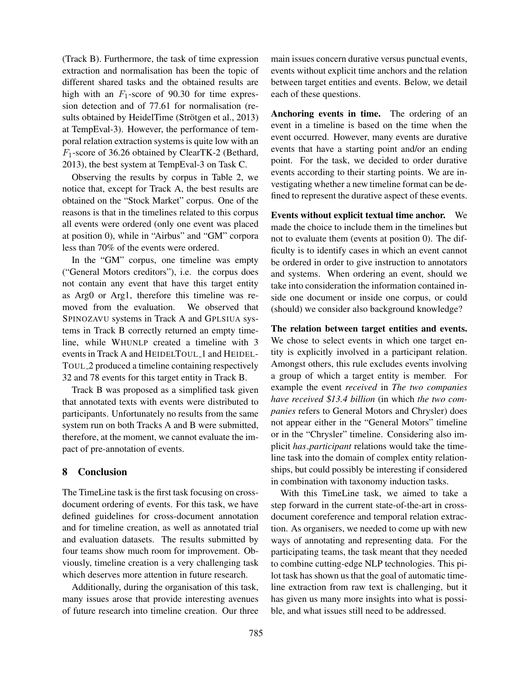(Track B). Furthermore, the task of time expression extraction and normalisation has been the topic of different shared tasks and the obtained results are high with an  $F_1$ -score of 90.30 for time expression detection and of 77.61 for normalisation (results obtained by HeidelTime (Strötgen et al., 2013) at TempEval-3). However, the performance of temporal relation extraction systems is quite low with an  $F_1$ -score of 36.26 obtained by ClearTK-2 (Bethard, 2013), the best system at TempEval-3 on Task C.

Observing the results by corpus in Table 2, we notice that, except for Track A, the best results are obtained on the "Stock Market" corpus. One of the reasons is that in the timelines related to this corpus all events were ordered (only one event was placed at position 0), while in "Airbus" and "GM" corpora less than 70% of the events were ordered.

In the "GM" corpus, one timeline was empty ("General Motors creditors"), i.e. the corpus does not contain any event that have this target entity as Arg0 or Arg1, therefore this timeline was removed from the evaluation. We observed that SPINOZAVU systems in Track A and GPLSIUA systems in Track B correctly returned an empty timeline, while WHUNLP created a timeline with 3 events in Track A and HEIDELTOUL 1 and HEIDEL-TOUL 2 produced a timeline containing respectively 32 and 78 events for this target entity in Track B.

Track B was proposed as a simplified task given that annotated texts with events were distributed to participants. Unfortunately no results from the same system run on both Tracks A and B were submitted, therefore, at the moment, we cannot evaluate the impact of pre-annotation of events.

# 8 Conclusion

The TimeLine task is the first task focusing on crossdocument ordering of events. For this task, we have defined guidelines for cross-document annotation and for timeline creation, as well as annotated trial and evaluation datasets. The results submitted by four teams show much room for improvement. Obviously, timeline creation is a very challenging task which deserves more attention in future research.

Additionally, during the organisation of this task, many issues arose that provide interesting avenues of future research into timeline creation. Our three main issues concern durative versus punctual events, events without explicit time anchors and the relation between target entities and events. Below, we detail each of these questions.

Anchoring events in time. The ordering of an event in a timeline is based on the time when the event occurred. However, many events are durative events that have a starting point and/or an ending point. For the task, we decided to order durative events according to their starting points. We are investigating whether a new timeline format can be defined to represent the durative aspect of these events.

Events without explicit textual time anchor. We made the choice to include them in the timelines but not to evaluate them (events at position 0). The difficulty is to identify cases in which an event cannot be ordered in order to give instruction to annotators and systems. When ordering an event, should we take into consideration the information contained inside one document or inside one corpus, or could (should) we consider also background knowledge?

The relation between target entities and events. We chose to select events in which one target entity is explicitly involved in a participant relation. Amongst others, this rule excludes events involving a group of which a target entity is member. For example the event *received* in *The two companies have received* \$*13.4 billion* (in which *the two companies* refers to General Motors and Chrysler) does not appear either in the "General Motors" timeline or in the "Chrysler" timeline. Considering also implicit *has participant* relations would take the timeline task into the domain of complex entity relationships, but could possibly be interesting if considered in combination with taxonomy induction tasks.

With this TimeLine task, we aimed to take a step forward in the current state-of-the-art in crossdocument coreference and temporal relation extraction. As organisers, we needed to come up with new ways of annotating and representing data. For the participating teams, the task meant that they needed to combine cutting-edge NLP technologies. This pilot task has shown us that the goal of automatic timeline extraction from raw text is challenging, but it has given us many more insights into what is possible, and what issues still need to be addressed.